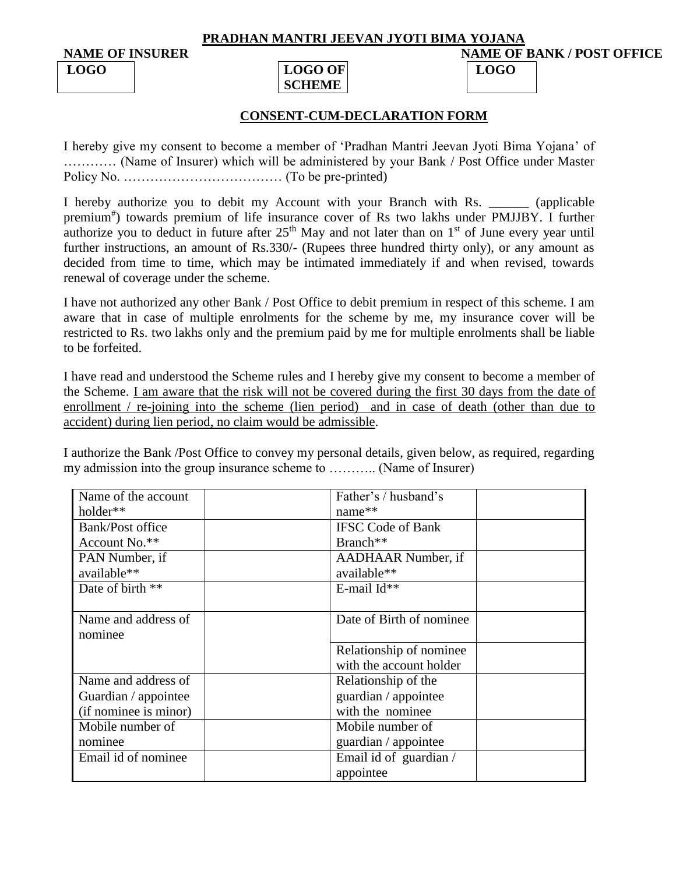#### **PRADHAN MANTRI JEEVAN JYOTI BIMA YOJANA**

**NAME OF INSURER NAME OF BANK / POST OFFICE**

# **LOGO LOGO OF SCHEME**

## **CONSENT-CUM-DECLARATION FORM**

**LOGO**

I hereby give my consent to become a member of 'Pradhan Mantri Jeevan Jyoti Bima Yojana' of ………… (Name of Insurer) which will be administered by your Bank / Post Office under Master Policy No. ……………………………… (To be pre-printed)

I hereby authorize you to debit my Account with your Branch with Rs. \_\_\_\_\_\_ (applicable premium<sup>#</sup>) towards premium of life insurance cover of Rs two lakhs under PMJJBY. I further authorize you to deduct in future after  $25<sup>th</sup>$  May and not later than on  $1<sup>st</sup>$  of June every year until further instructions, an amount of Rs.330/- (Rupees three hundred thirty only), or any amount as decided from time to time, which may be intimated immediately if and when revised, towards renewal of coverage under the scheme.

I have not authorized any other Bank / Post Office to debit premium in respect of this scheme. I am aware that in case of multiple enrolments for the scheme by me, my insurance cover will be restricted to Rs. two lakhs only and the premium paid by me for multiple enrolments shall be liable to be forfeited.

I have read and understood the Scheme rules and I hereby give my consent to become a member of the Scheme. I am aware that the risk will not be covered during the first 30 days from the date of enrollment / re-joining into the scheme (lien period) and in case of death (other than due to accident) during lien period, no claim would be admissible.

I authorize the Bank /Post Office to convey my personal details, given below, as required, regarding my admission into the group insurance scheme to ……….. (Name of Insurer)

| Name of the account   | Father's / husband's     |  |
|-----------------------|--------------------------|--|
| holder**              | $name**$                 |  |
| Bank/Post office      | <b>IFSC Code of Bank</b> |  |
| Account No.**         | Branch <sup>**</sup>     |  |
| PAN Number, if        | AADHAAR Number, if       |  |
| available**           | available**              |  |
| Date of birth **      | E-mail $Id**$            |  |
|                       |                          |  |
| Name and address of   | Date of Birth of nominee |  |
| nominee               |                          |  |
|                       | Relationship of nominee  |  |
|                       | with the account holder  |  |
| Name and address of   | Relationship of the      |  |
| Guardian / appointee  | guardian / appointee     |  |
| (if nominee is minor) | with the nominee         |  |
| Mobile number of      | Mobile number of         |  |
| nominee               | guardian / appointee     |  |
| Email id of nominee.  | Email id of guardian /   |  |
|                       | appointee                |  |